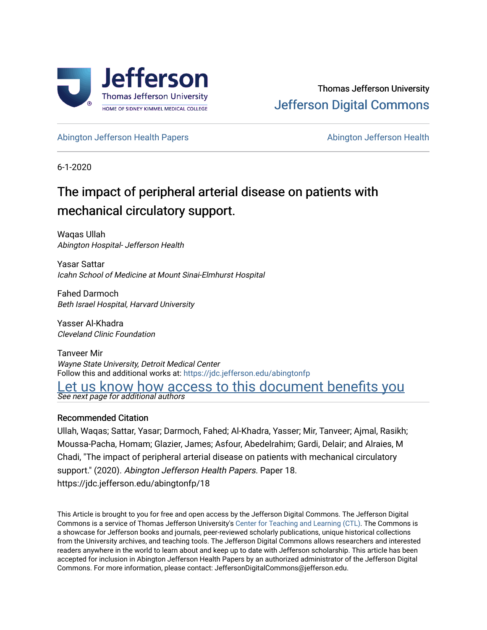

[Abington Jefferson Health Papers](https://jdc.jefferson.edu/abingtonfp) **Abington Jefferson Health** Abington Jefferson Health

6-1-2020

# The impact of peripheral arterial disease on patients with mechanical circulatory support.

Waqas Ullah Abington Hospital- Jefferson Health

Yasar Sattar Icahn School of Medicine at Mount Sinai-Elmhurst Hospital

Fahed Darmoch Beth Israel Hospital, Harvard University

Yasser Al-Khadra Cleveland Clinic Foundation

Tanveer Mir Wayne State University, Detroit Medical Center Follow this and additional works at: [https://jdc.jefferson.edu/abingtonfp](https://jdc.jefferson.edu/abingtonfp?utm_source=jdc.jefferson.edu%2Fabingtonfp%2F18&utm_medium=PDF&utm_campaign=PDFCoverPages) 

Let us know how access to this document benefits you

See next page for additional authors

### Recommended Citation

Ullah, Waqas; Sattar, Yasar; Darmoch, Fahed; Al-Khadra, Yasser; Mir, Tanveer; Ajmal, Rasikh; Moussa-Pacha, Homam; Glazier, James; Asfour, Abedelrahim; Gardi, Delair; and Alraies, M Chadi, "The impact of peripheral arterial disease on patients with mechanical circulatory support." (2020). Abington Jefferson Health Papers. Paper 18. https://jdc.jefferson.edu/abingtonfp/18

This Article is brought to you for free and open access by the Jefferson Digital Commons. The Jefferson Digital Commons is a service of Thomas Jefferson University's [Center for Teaching and Learning \(CTL\)](http://www.jefferson.edu/university/teaching-learning.html/). The Commons is a showcase for Jefferson books and journals, peer-reviewed scholarly publications, unique historical collections from the University archives, and teaching tools. The Jefferson Digital Commons allows researchers and interested readers anywhere in the world to learn about and keep up to date with Jefferson scholarship. This article has been accepted for inclusion in Abington Jefferson Health Papers by an authorized administrator of the Jefferson Digital Commons. For more information, please contact: JeffersonDigitalCommons@jefferson.edu.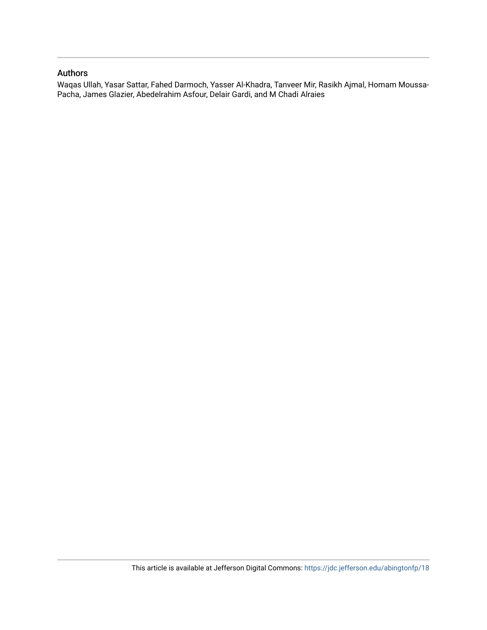### Authors

Waqas Ullah, Yasar Sattar, Fahed Darmoch, Yasser Al-Khadra, Tanveer Mir, Rasikh Ajmal, Homam Moussa-Pacha, James Glazier, Abedelrahim Asfour, Delair Gardi, and M Chadi Alraies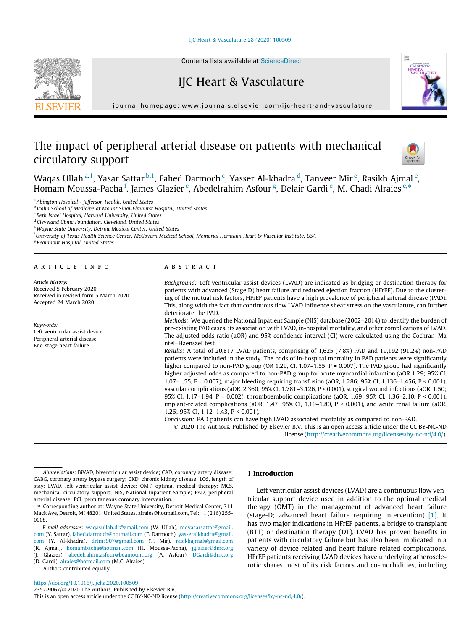#### [IJC Heart & Vasculature 28 \(2020\) 100509](https://doi.org/10.1016/j.ijcha.2020.100509)



# IJC Heart & Vasculature

journal homepage: [www.journals.elsevier.com/ijc-heart-and-vasculature](http://www.journals.elsevier.com/ijc-heart-and-vasculature)

## The impact of peripheral arterial disease on patients with mechanical circulatory support



Waqas Ullah <sup>a,1</sup>, Yasar Sattar <sup>b,1</sup>, Fahed Darmoch <sup>c</sup>, Yasser Al-khadra <sup>d</sup>, Tanveer Mir <sup>e</sup>, Rasikh Ajmal <sup>e</sup>, Homam Moussa-Pacha <sup>f</sup>, James Glazier <sup>e</sup>, Abedelrahim Asfour <sup>g</sup>, Delair Gardi <sup>e</sup>, M. Chadi Alraies <sup>e,\*</sup>

<sup>a</sup> Abington Hospital - Jefferson Health, United States

**b** Icahn School of Medicine at Mount Sinai-Elmhurst Hospital, United States

<sup>c</sup> Beth Israel Hospital, Harvard University, United States

<sup>d</sup> Cleveland Clinic Foundation, Cleveland, United States

e Wayne State University, Detroit Medical Center, United States

<sup>f</sup> University of Texas Health Science Center, McGovern Medical School, Memorial Hermann Heart & Vascular Institute, USA

<sup>g</sup> Beaumont Hospital, United States

#### article info

Article history: Received 5 February 2020 Received in revised form 5 March 2020 Accepted 24 March 2020

Keywords: Left ventricular assist device Peripheral arterial disease End-stage heart failure

#### ABSTRACT

Background: Left ventricular assist devices (LVAD) are indicated as bridging or destination therapy for patients with advanced (Stage D) heart failure and reduced ejection fraction (HFrEF). Due to the clustering of the mutual risk factors, HFrEF patients have a high prevalence of peripheral arterial disease (PAD). This, along with the fact that continuous flow LVAD influence shear stress on the vasculature, can further deteriorate the PAD.

Methods: We queried the National Inpatient Sample (NIS) database (2002–2014) to identify the burden of pre-existing PAD cases, its association with LVAD, in-hospital mortality, and other complications of LVAD. The adjusted odds ratio (aOR) and 95% confidence interval (CI) were calculated using the Cochran–Ma ntel–Haenszel test.

Results: A total of 20,817 LVAD patients, comprising of 1,625 (7.8%) PAD and 19,192 (91.2%) non-PAD patients were included in the study. The odds of in-hospital mortality in PAD patients were significantly higher compared to non-PAD group (OR 1.29, CI, 1.07–1.55,  $P = 0.007$ ). The PAD group had significantly higher adjusted odds as compared to non-PAD group for acute myocardial infarction (aOR 1.29; 95% CI, 1.07–1.55, P = 0.007), major bleeding requiring transfusion (aOR, 1.286; 95% CI, 1.136–1.456, P < 0.001), vascular complications (aOR, 2.360; 95% CI, 1.781–3.126, P < 0.001), surgical wound infections (aOR, 1.50; 95% CI, 1.17–1.94, P = 0.002), thromboembolic complications (aOR, 1.69; 95% CI, 1.36–2.10, P < 0.001), implant-related complications (aOR, 1.47; 95% CI, 1.19–1.80, P < 0.001), and acute renal failure (aOR, 1.26; 95% CI, 1.12–1.43, P < 0.001).

Conclusion: PAD patients can have high LVAD associated mortality as compared to non-PAD. 2020 The Authors. Published by Elsevier B.V. This is an open access article under the CC BY-NC-ND

license (<http://creativecommons.org/licenses/by-nc-nd/4.0/>).

⇑ Corresponding author at: Wayne State University, Detroit Medical Center, 311 Mack Ave, Detroit, MI 48201, United States. alraies@hotmail.com, Tel: +1 (216) 255- 0008.

E-mail addresses: [waqasullah.dr@gmail.com](mailto:waqasullah.dr@gmail.com) (W. Ullah), [mdyasarsattar@gmail.](mailto:mdyasarsattar@gmail.com) [com](mailto:mdyasarsattar@gmail.com) (Y. Sattar), [fahed.darmoch@hotmail.com](mailto:fahed.darmoch@hotmail.com) (F. Darmoch), [yasseralkhadra@gmail.](mailto:yasseralkhadra@gmail.com) [com](mailto:yasseralkhadra@gmail.com) (Y. Al-khadra), [drtms907@gmail.com](mailto:drtms907@gmail.com) (T. Mir), [rasikhajmal@gmail.com](mailto:rasikhajmal@gmail.com) (R. Ajmal), [homambacha@hotmail.com](mailto:homambacha@hotmail.com) (H. Moussa-Pacha), [jglazier@dmc.org](mailto:jglazier@dmc.org) (J. Glazier), [abedelrahim.asfour@beamount.org](mailto:abedelrahim.asfour@beamount.org) (A. Asfour), [DGardi@dmc.org](mailto:DGardi@dmc.org) (D. Gardi), [alraies@hotmail.com](mailto:alraies@hotmail.com) (M.C. Alraies).

<sup>1</sup> Authors contributed equally.

#### 1 Introduction

Left ventricular assist devices (LVAD) are a continuous flow ventricular support device used in addition to the optimal medical therapy (OMT) in the management of advanced heart failure (stage-D; advanced heart failure requiring intervention) [\[1\]](#page-6-0). It has two major indications in HFrEF patients, a bridge to transplant (BTT) or destination therapy (DT). LVAD has proven benefits in patients with circulatory failure but has also been implicated in a variety of device-related and heart failure-related complications. HFrEF patients receiving LVAD devices have underlying atherosclerotic shares most of its risk factors and co-morbidities, including



Abbreviations: BiVAD, biventricular assist device; CAD, coronary artery disease; CABG, coronary artery bypass surgery; CKD, chronic kidney disease; LOS, length of stay; LVAD, left ventricular assist device; OMT, optimal medical therapy; MCS, mechanical circulatory support; NIS, National Inpatient Sample; PAD, peripheral arterial disease; PCI, percutaneous coronary intervention.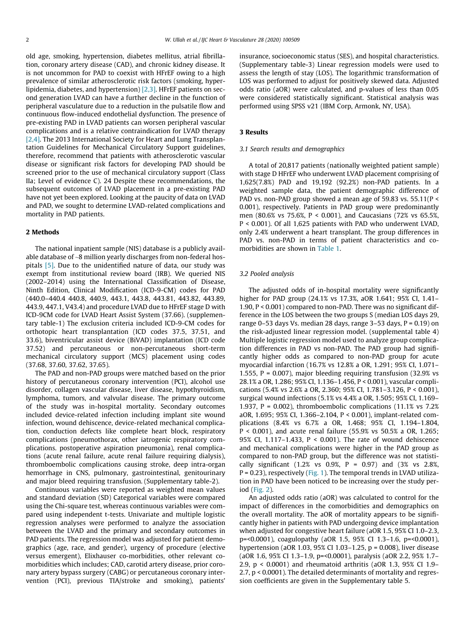old age, smoking, hypertension, diabetes mellitus, atrial fibrillation, coronary artery disease (CAD), and chronic kidney disease. It is not uncommon for PAD to coexist with HFrEF owing to a high prevalence of similar atherosclerotic risk factors (smoking, hyperlipidemia, diabetes, and hypertension)  $[2,3]$ . HFrEF patients on second generation LVAD can have a further decline in the function of peripheral vasculature due to a reduction in the pulsatile flow and continuous flow-induced endothelial dysfunction. The presence of pre-existing PAD in LVAD patients can worsen peripheral vascular complications and is a relative contraindication for LVAD therapy [\[2,4\]](#page-6-0). The 2013 International Society for Heart and Lung Transplantation Guidelines for Mechanical Circulatory Support guidelines, therefore, recommend that patients with atherosclerotic vascular disease or significant risk factors for developing PAD should be screened prior to the use of mechanical circulatory support (Class IIa; Level of evidence C). 24 Despite these recommendations, the subsequent outcomes of LVAD placement in a pre-existing PAD have not yet been explored. Looking at the paucity of data on LVAD and PAD, we sought to determine LVAD-related complications and mortality in PAD patients.

#### 2 Methods

The national inpatient sample (NIS) database is a publicly available database of ~8 million yearly discharges from non-federal hospitals [\[5\].](#page-6-0) Due to the unidentified nature of data, our study was exempt from institutional review board (IRB). We queried NIS (2002–2014) using the International Classification of Disease, Ninth Edition, Clinical Modification (ICD-9-CM) codes for PAD (440.0–440.4 440.8, 440.9, 443.1, 443.8, 443.81, 443.82, 443.89, 443.9, 447.1, V43.4) and procedure LVAD due to HFrEF stage D with ICD-9CM code for LVAD Heart Assist System (37.66). (supplementary table-1) The exclusion criteria included ICD-9-CM codes for orthotopic heart transplantation (ICD codes 37.5, 37.51, and 33.6), biventricular assist device (BiVAD) implantation (ICD code 37.52) and percutaneous or non-percutaneous short-term mechanical circulatory support (MCS) placement using codes (37.68, 37.60, 37.62, 37.65).

The PAD and non-PAD groups were matched based on the prior history of percutaneous coronary intervention (PCI), alcohol use disorder, collagen vascular disease, liver disease, hypothyroidism, lymphoma, tumors, and valvular disease. The primary outcome of the study was in-hospital mortality. Secondary outcomes included device-related infection including implant site wound infection, wound dehiscence, device-related mechanical complication, conduction defects like complete heart block, respiratory complications (pneumothorax, other iatrogenic respiratory complications. postoperative aspiration pneumonia), renal complications (acute renal failure, acute renal failure requiring dialysis), thromboembolic complications causing stroke, deep intra-organ hemorrhage in CNS, pulmonary, gastrointestinal, genitourinary and major bleed requiring transfusion. (Supplementary table-2).

Continuous variables were reported as weighted mean values and standard deviation (SD) Categorical variables were compared using the Chi-square test, whereas continuous variables were compared using independent t-tests. Univariate and multiple logistic regression analyses were performed to analyze the association between the LVAD and the primary and secondary outcomes in PAD patients. The regression model was adjusted for patient demographics (age, race, and gender), urgency of procedure (elective versus emergent), Elixhauser co-morbidities, other relevant comorbidities which includes; CAD, carotid artery disease, prior coronary artery bypass surgery (CABG) or percutaneous coronary intervention (PCI), previous TIA/stroke and smoking), patients'

insurance, socioeconomic status (SES), and hospital characteristics. (Supplementary table-3) Linear regression models were used to assess the length of stay (LOS). The logarithmic transformation of LOS was performed to adjust for positively skewed data. Adjusted odds ratio (aOR) were calculated, and p-values of less than 0.05 were considered statistically significant. Statistical analysis was performed using SPSS v21 (IBM Corp, Armonk, NY, USA).

#### 3 Results

#### 3.1 Search results and demographics

A total of 20,817 patients (nationally weighted patient sample) with stage D HFrEF who underwent LVAD placement comprising of 1,625(7.8%) PAD and 19,192 (92.2%) non-PAD patients. In a weighted sample data, the patient demographic difference of PAD vs. non-PAD group showed a mean age of 59.83 vs. 55.11(P < 0.001), respectively. Patients in PAD group were predominantly men (80.6% vs 75.6%, P < 0.001), and Caucasians (72% vs 65.5%, P < 0.001). Of all 1,625 patients with PAD who underwent LVAD, only 2.4% underwent a heart transplant. The group differences in PAD vs. non-PAD in terms of patient characteristics and comorbidities are shown in [Table 1.](#page-4-0)

#### 3.2 Pooled analysis

The adjusted odds of in-hospital mortality were significantly higher for PAD group (24.1% vs 17.3%, aOR 1.641; 95% CI, 1.41– 1.90, P < 0.001) compared to non-PAD. There was no significant difference in the LOS between the two groups S (median LOS days 29, range  $0-53$  days Vs. median 28 days, range  $3-53$  days,  $P = 0.19$ ) on the risk-adjusted linear regression model. (supplemental table 4) Multiple logistic regression model used to analyze group complication differences in PAD vs non-PAD. The PAD group had significantly higher odds as compared to non-PAD group for acute myocardial infarction (16.7% vs 12.8% a OR, 1.291; 95% CI, 1.071– 1.555, P = 0.007), major bleeding requiring transfusion (32.9% vs 28.1% a OR, 1.286; 95% CI, 1.136–1.456, P < 0.001), vascular complications (5.4% vs 2.6% a OR, 2.360; 95% CI, 1.781–3.126, P < 0.001), surgical wound infections (5.1% vs 4.4% a OR, 1.505; 95% CI, 1.169– 1.937,  $P = 0.002$ ), thromboembolic complications (11.1% vs 7.2%) aOR, 1.695; 95% CI, 1.366–2.104, P < 0.001), implant-related complications (8.4% vs 6.7% a OR, 1.468; 95% CI, 1.194–1.804, P < 0.001), and acute renal failure (55.9% vs 50.5% a OR, 1.265; 95% CI, 1.117–1.433, P < 0.001). The rate of wound dehiscence and mechanical complications were higher in the PAD group as compared to non-PAD group, but the difference was not statistically significant (1.2% vs 0.9%,  $P = 0.97$ ) and (3% vs 2.8%,  $P = 0.23$ ), respectively ( $Fig. 1$ ). The temporal trends in LVAD utilization in PAD have been noticed to be increasing over the study period [\(Fig. 2\)](#page-5-0).

An adjusted odds ratio (aOR) was calculated to control for the impact of differences in the comorbidities and demographics on the overall mortality. The aOR of mortality appears to be significantly higher in patients with PAD undergoing device implantation when adjusted for congestive heart failure (aOR 1.5, 95% CI 1.0–2.3, p=<0.0001), coagulopathy (aOR 1.5, 95% CI 1.3–1.6, p=<0.0001), hypertension (aOR 1.03, 95% CI 1.03–1.25, p = 0.008), liver disease (aOR 1.6, 95% CI 1.3–1.9, p=<0.0001), paralysis (aOR 2.2, 95% 1.7– 2.9, p < 0.0001) and rheumatoid arthritis (aOR 1.3, 95% CI 1.9– 2.7, p < 0.0001). The detailed determinants of mortality and regression coefficients are given in the Supplementary table 5.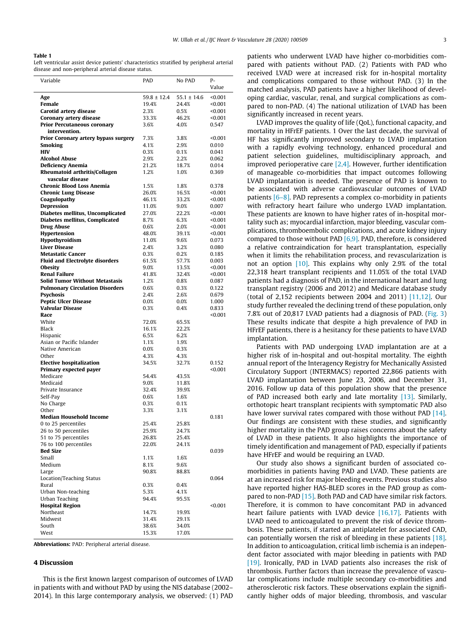#### <span id="page-4-0"></span>Table 1

Left ventricular assist device patients' characteristics stratified by peripheral arterial disease and non-peripheral arterial disease status.

| Variable                                            | PAD             | No PAD          | P-<br>Value      |
|-----------------------------------------------------|-----------------|-----------------|------------------|
| Age                                                 | $59.8 \pm 12.4$ | $55.1 \pm 14.6$ | < 0.001          |
| Female                                              | 19.4%           | 24.4%           | < 0.001          |
| Carotid artery disease                              | 2.3%            | 0.5%            | < 0.001          |
| Coronary artery disease                             | 33.3%           | 46.2%           | < 0.001          |
| <b>Prior Percutaneous coronary</b><br>intervention. | 3.6%            | 4.0%            | 0.547            |
| <b>Prior Coronary artery bypass surgery</b>         | 7.3%            | 3.8%            | < 0.001          |
| Smoking                                             | 4.1%            | 2.9%            | 0.010            |
| <b>HIV</b>                                          | 0.3%            | 0.1%            | 0.041            |
| <b>Alcohol Abuse</b>                                | 2.9%            | 2.2%            | 0.062            |
| <b>Deficiency Anemia</b>                            | 21.2%           | 18.7%           | 0.014            |
| Rheumatoid arthritis/Collagen                       | 1.2%            | 1.0%            | 0.369            |
| vascular disease                                    |                 |                 |                  |
| <b>Chronic Blood Loss Anemia</b>                    | 1.5%            | 1.8%            | 0.378            |
| <b>Chronic Lung Disease</b>                         | 26.0%           | 16.5%           | < 0.001          |
| Coagulopathy                                        | 46.1%           | 33.2%           | < 0.001          |
| <b>Depression</b>                                   | 11.0%           | $9.0\%$         | 0.007            |
| Diabetes mellitus, Uncomplicated                    | 27.0%           | 22.2%           | < 0.001          |
| Diabetes mellitus, Complicated                      | 8.7%            | 6.3%            | < 0.001          |
| <b>Drug Abuse</b>                                   | 0.6%            | 2.0%            | < 0.001          |
| Hypertension                                        | 48.0%           | 39.1%           | < 0.001          |
| <b>Hypothyroidism</b>                               | 11.0%           | 9.6%            | 0.073            |
| <b>Liver Disease</b>                                | 2.4%            | 3.2%            | 0.080            |
| <b>Metastatic Cancer</b>                            | 0.3%            | 0.2%            | 0.185            |
| <b>Fluid and Electrolyte disorders</b>              | 61.5%           | 57.7%           | 0.003            |
| <b>Obesity</b>                                      | 9.0%            | 13.5%           | < 0.001          |
| <b>Renal Failure</b>                                | 41.8%           | 32.4%           | < 0.001          |
| <b>Solid Tumor Without Metastasis</b>               | 1.2%            | 0.8%            | 0.087            |
| <b>Pulmonary Circulation Disorders</b>              | 0.6%            | 0.3%            | 0.122            |
| <b>Psychosis</b>                                    | 2.4%            | 2.6%            | 0.679            |
| <b>Peptic Ulcer Disease</b>                         | 0.0%            | 0.0%            | 1.000            |
| <b>Valvular Disease</b><br>Race                     | 0.3%            | 0.4%            | 0.833<br>< 0.001 |
| White                                               | 72.0%           | 65.5%           |                  |
| Black                                               | 16.1%           | 22.2%           |                  |
| Hispanic                                            | 6.5%            | 6.2%            |                  |
| Asian or Pacific Islander                           | 1.1%            | 1.9%            |                  |
| Native American                                     | 0.0%            | 0.3%            |                  |
| Other                                               | 4.3%            | 4.3%            |                  |
| <b>Elective hospitalization</b>                     | 34.5%           | 32.7%           | 0.152            |
| Primary expected payer                              |                 |                 | < 0.001          |
| Medicare                                            | 54.4%           | 43.5%           |                  |
| Medicaid                                            | 9.0%            | 11.8%           |                  |
| Private Insurance                                   | 32.4%           | 39.9%           |                  |
| Self-Pay                                            | 0.6%            | 1.6%            |                  |
| No Charge                                           | 0.3%            | 0.1%            |                  |
| Other                                               | 3.3%            | 3.1%            |                  |
| <b>Median Household Income</b>                      |                 |                 | 0.181            |
| 0 to 25 percentiles                                 | 25.4%           | 25.8%           |                  |
| 26 to 50 percentiles                                | 25.9%           | 24.7%           |                  |
| 51 to 75 percentiles                                | 26.8%           | 25.4%           |                  |
| 76 to 100 percentiles                               | 22.0%           | 24.1%           |                  |
| <b>Bed Size</b>                                     |                 |                 | 0.039            |
| Small                                               | 1.1%            | 1.6%            |                  |
| Medium                                              | 8.1%            | 9.6%            |                  |
| Large                                               | 90.8%           | 88.8%           |                  |
| Location/Teaching Status                            |                 |                 | 0.064            |
| Rural                                               | 0.3%            | 0.4%            |                  |
| Urban Non-teaching                                  | 5.3%            | 4.1%            |                  |
| Urban Teaching                                      | 94.4%           | 95.5%           |                  |
| <b>Hospital Region</b>                              |                 |                 | < 0.001          |
| Northeast<br>Midwest                                | 14.7%           | 19.9%           |                  |
| South                                               | 31.4%<br>38.6%  | 29.1%<br>34.0%  |                  |
| West                                                | 15.3%           | 17.0%           |                  |
|                                                     |                 |                 |                  |

Abbreviations: PAD: Peripheral arterial disease.

#### 4 Discussion

This is the first known largest comparison of outcomes of LVAD in patients with and without PAD by using the NIS database (2002– 2014). In this large contemporary analysis, we observed: (1) PAD patients who underwent LVAD have higher co-morbidities compared with patients without PAD. (2) Patients with PAD who received LVAD were at increased risk for in-hospital mortality and complications compared to those without PAD. (3) In the matched analysis, PAD patients have a higher likelihood of developing cardiac, vascular, renal, and surgical complications as compared to non-PAD. (4) The national utilization of LVAD has been significantly increased in recent years.

LVAD improves the quality of life (QoL), functional capacity, and mortality in HFrEF patients. 1 Over the last decade, the survival of HF has significantly improved secondary to LVAD implantation with a rapidly evolving technology, enhanced procedural and patient selection guidelines, multidisciplinary approach, and improved perioperative care [\[2,4\].](#page-6-0) However, further identification of manageable co-morbidities that impact outcomes following LVAD implantation is needed. The presence of PAD is known to be associated with adverse cardiovascular outcomes of LVAD patients [\[6–8\].](#page-6-0) PAD represents a complex co-morbidity in patients with refractory heart failure who undergo LVAD implantation. These patients are known to have higher rates of in-hospital mortality such as; myocardial infarction, major bleeding, vascular complications, thromboembolic complications, and acute kidney injury compared to those without PAD [\[6,9\].](#page-6-0) PAD, therefore, is considered a relative contraindication for heart transplantation, especially when it limits the rehabilitation process, and revascularization is not an option [\[10\].](#page-6-0) This explains why only 2.9% of the total 22,318 heart transplant recipients and 11.05% of the total LVAD patients had a diagnosis of PAD, in the international heart and lung transplant registry (2006 and 2012) and Medicare database study (total of 2,152 recipients between 2004 and 2011) [\[11,12\].](#page-6-0) Our study further revealed the declining trend of these population, only 7.8% out of 20,817 LVAD patients had a diagnosis of PAD. ([Fig. 3\)](#page-6-0) These results indicate that despite a high prevalence of PAD in HFrEF patients, there is a hesitancy for these patients to have LVAD implantation.

Patients with PAD undergoing LVAD implantation are at a higher risk of in-hospital and out-hospital mortality. The eighth annual report of the Interagency Registry for Mechanically Assisted Circulatory Support (INTERMACS) reported 22,866 patients with LVAD implantation between June 23, 2006, and December 31, 2016. Follow up data of this population show that the presence of PAD increased both early and late mortality [\[13\].](#page-6-0) Similarly, orthotopic heart transplant recipients with symptomatic PAD also have lower survival rates compared with those without PAD [\[14\].](#page-6-0) Our findings are consistent with these studies, and significantly higher mortality in the PAD group raises concerns about the safety of LVAD in these patients. It also highlights the importance of timely identification and management of PAD, especially if patients have HFrEF and would be requiring an LVAD.

Our study also shows a significant burden of associated comorbidities in patients having PAD and LVAD. These patients are at an increased risk for major bleeding events. Previous studies also have reported higher HAS-BLED scores in the PAD group as compared to non-PAD [\[15\].](#page-6-0) Both PAD and CAD have similar risk factors. Therefore, it is common to have concomitant PAD in advanced heart failure patients with LVAD device [\[16,17\].](#page-6-0) Patients with LVAD need to anticoagulated to prevent the risk of device thrombosis. These patients, if started an antiplatelet for associated CAD, can potentially worsen the risk of bleeding in these patients [\[18\].](#page-6-0) In addition to anticoagulation, critical limb ischemia is an independent factor associated with major bleeding in patients with PAD [\[19\]](#page-6-0). Ironically, PAD in LVAD patients also increases the risk of thrombosis. Further factors than increase the prevalence of vascular complications include multiple secondary co-morbidities and atherosclerotic risk factors. These observations explain the significantly higher odds of major bleeding, thrombosis, and vascular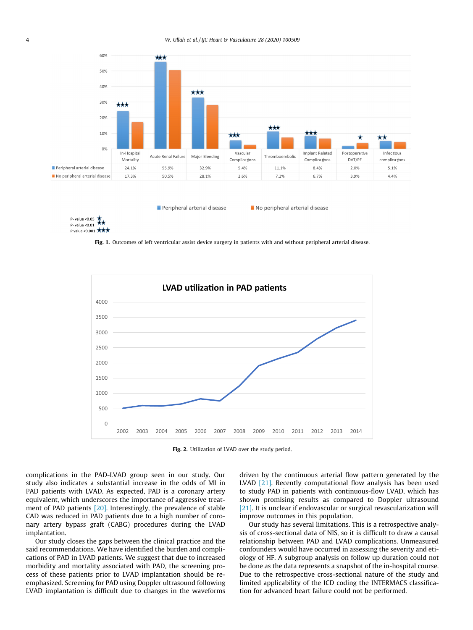<span id="page-5-0"></span>

Peripheral arterial disease

No peripheral arterial disease



Fig. 1. Outcomes of left ventricular assist device surgery in patients with and without peripheral arterial disease.



Fig. 2. Utilization of LVAD over the study period.

complications in the PAD-LVAD group seen in our study. Our study also indicates a substantial increase in the odds of MI in PAD patients with LVAD. As expected, PAD is a coronary artery equivalent, which underscores the importance of aggressive treatment of PAD patients [\[20\].](#page-6-0) Interestingly, the prevalence of stable CAD was reduced in PAD patients due to a high number of coronary artery bypass graft (CABG) procedures during the LVAD implantation.

Our study closes the gaps between the clinical practice and the said recommendations. We have identified the burden and complications of PAD in LVAD patients. We suggest that due to increased morbidity and mortality associated with PAD, the screening process of these patients prior to LVAD implantation should be reemphasized. Screening for PAD using Doppler ultrasound following LVAD implantation is difficult due to changes in the waveforms driven by the continuous arterial flow pattern generated by the LVAD [\[21\].](#page-6-0) Recently computational flow analysis has been used to study PAD in patients with continuous-flow LVAD, which has shown promising results as compared to Doppler ultrasound [\[21\]](#page-6-0). It is unclear if endovascular or surgical revascularization will improve outcomes in this population.

Our study has several limitations. This is a retrospective analysis of cross-sectional data of NIS, so it is difficult to draw a causal relationship between PAD and LVAD complications. Unmeasured confounders would have occurred in assessing the severity and etiology of HF. A subgroup analysis on follow up duration could not be done as the data represents a snapshot of the in-hospital course. Due to the retrospective cross-sectional nature of the study and limited applicability of the ICD coding the INTERMACS classification for advanced heart failure could not be performed.